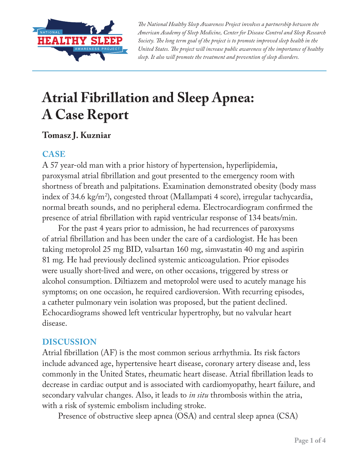

*The National Healthy Sleep Awareness Project involves a partnership between the American Academy of Sleep Medicine, Center for Disease Control and Sleep Research Society. The long term goal of the project is to promote improved sleep health in the United States. The project will increase public awareness of the importance of healthy sleep. It also will promote the treatment and prevention of sleep disorders.*

# **Atrial Fibrillation and Sleep Apnea: A Case Report**

## **Tomasz J. Kuzniar**

### **CASE**

A 57 year-old man with a prior history of hypertension, hyperlipidemia, paroxysmal atrial fibrillation and gout presented to the emergency room with shortness of breath and palpitations. Examination demonstrated obesity (body mass index of 34.6 kg/m2 ), congested throat (Mallampati 4 score), irregular tachycardia, normal breath sounds, and no peripheral edema. Electrocardiogram confirmed the presence of atrial fibrillation with rapid ventricular response of 134 beats/min.

For the past 4 years prior to admission, he had recurrences of paroxysms of atrial fibrillation and has been under the care of a cardiologist. He has been taking metoprolol 25 mg BID, valsartan 160 mg, simvastatin 40 mg and aspirin 81 mg. He had previously declined systemic anticoagulation. Prior episodes were usually short-lived and were, on other occasions, triggered by stress or alcohol consumption. Diltiazem and metoprolol were used to acutely manage his symptoms; on one occasion, he required cardioversion. With recurring episodes, a catheter pulmonary vein isolation was proposed, but the patient declined. Echocardiograms showed left ventricular hypertrophy, but no valvular heart disease.

### **DISCUSSION**

Atrial fibrillation (AF) is the most common serious arrhythmia. Its risk factors include advanced age, hypertensive heart disease, coronary artery disease and, less commonly in the United States, rheumatic heart disease. Atrial fibrillation leads to decrease in cardiac output and is associated with cardiomyopathy, heart failure, and secondary valvular changes. Also, it leads to *in situ* thrombosis within the atria, with a risk of systemic embolism including stroke.

Presence of obstructive sleep apnea (OSA) and central sleep apnea (CSA)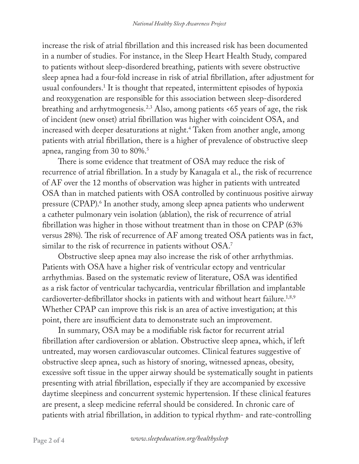increase the risk of atrial fibrillation and this increased risk has been documented in a number of studies. For instance, in the Sleep Heart Health Study, compared to patients without sleep-disordered breathing, patients with severe obstructive sleep apnea had a four-fold increase in risk of atrial fibrillation, after adjustment for usual confounders.1 It is thought that repeated, intermittent episodes of hypoxia and reoxygenation are responsible for this association between sleep-disordered breathing and arrhytmogenesis.2,3 Also, among patients <65 years of age, the risk of incident (new onset) atrial fibrillation was higher with coincident OSA, and increased with deeper desaturations at night.4 Taken from another angle, among patients with atrial fibrillation, there is a higher of prevalence of obstructive sleep apnea, ranging from 30 to 80%.5

There is some evidence that treatment of OSA may reduce the risk of recurrence of atrial fibrillation. In a study by Kanagala et al., the risk of recurrence of AF over the 12 months of observation was higher in patients with untreated OSA than in matched patients with OSA controlled by continuous positive airway pressure (CPAP).<sup>6</sup> In another study, among sleep apnea patients who underwent a catheter pulmonary vein isolation (ablation), the risk of recurrence of atrial fibrillation was higher in those without treatment than in those on CPAP (63% versus 28%). The risk of recurrence of AF among treated OSA patients was in fact, similar to the risk of recurrence in patients without OSA.<sup>7</sup>

Obstructive sleep apnea may also increase the risk of other arrhythmias. Patients with OSA have a higher risk of ventricular ectopy and ventricular arrhythmias. Based on the systematic review of literature, OSA was identified as a risk factor of ventricular tachycardia, ventricular fibrillation and implantable cardioverter-defibrillator shocks in patients with and without heart failure.<sup>1,8,9</sup> Whether CPAP can improve this risk is an area of active investigation; at this point, there are insufficient data to demonstrate such an improvement.

In summary, OSA may be a modifiable risk factor for recurrent atrial fibrillation after cardioversion or ablation. Obstructive sleep apnea, which, if left untreated, may worsen cardiovascular outcomes. Clinical features suggestive of obstructive sleep apnea, such as history of snoring, witnessed apneas, obesity, excessive soft tissue in the upper airway should be systematically sought in patients presenting with atrial fibrillation, especially if they are accompanied by excessive daytime sleepiness and concurrent systemic hypertension. If these clinical features are present, a sleep medicine referral should be considered. In chronic care of patients with atrial fibrillation, in addition to typical rhythm- and rate-controlling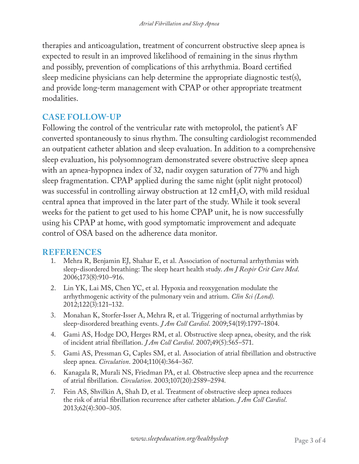therapies and anticoagulation, treatment of concurrent obstructive sleep apnea is expected to result in an improved likelihood of remaining in the sinus rhythm and possibly, prevention of complications of this arrhythmia. Board certified sleep medicine physicians can help determine the appropriate diagnostic test(s), and provide long-term management with CPAP or other appropriate treatment modalities.

#### **CASE FOLLOW-UP**

Following the control of the ventricular rate with metoprolol, the patient's AF converted spontaneously to sinus rhythm. The consulting cardiologist recommended an outpatient catheter ablation and sleep evaluation. In addition to a comprehensive sleep evaluation, his polysomnogram demonstrated severe obstructive sleep apnea with an apnea-hypopnea index of 32, nadir oxygen saturation of 77% and high sleep fragmentation. CPAP applied during the same night (split night protocol) was successful in controlling airway obstruction at 12 cmH<sub>2</sub>O, with mild residual central apnea that improved in the later part of the study. While it took several weeks for the patient to get used to his home CPAP unit, he is now successfully using his CPAP at home, with good symptomatic improvement and adequate control of OSA based on the adherence data monitor.

#### **REFERENCES**

- 1. Mehra R, Benjamin EJ, Shahar E, et al. Association of nocturnal arrhythmias with sleep-disordered breathing: The sleep heart health study. *Am J Respir Crit Care Med*. 2006;173(8):910–916.
- 2. Lin YK, Lai MS, Chen YC, et al. Hypoxia and reoxygenation modulate the arrhythmogenic activity of the pulmonary vein and atrium. *Clin Sci (Lond)*. 2012;122(3):121–132.
- 3. Monahan K, Storfer-Isser A, Mehra R, et al. Triggering of nocturnal arrhythmias by sleep-disordered breathing events. *J Am Coll Cardiol*. 2009;54(19):1797–1804.
- 4. Gami AS, Hodge DO, Herges RM, et al. Obstructive sleep apnea, obesity, and the risk of incident atrial fibrillation. *J Am Coll Cardiol*. 2007;49(5):565–571.
- 5. Gami AS, Pressman G, Caples SM, et al. Association of atrial fibrillation and obstructive sleep apnea. *Circulation*. 2004;110(4):364–367.
- 6. Kanagala R, Murali NS, Friedman PA, et al. Obstructive sleep apnea and the recurrence of atrial fibrillation. *Circulation*. 2003;107(20):2589–2594.
- 7. Fein AS, Shvilkin A, Shah D, et al. Treatment of obstructive sleep apnea reduces the risk of atrial fibrillation recurrence after catheter ablation. *J Am Coll Cardiol*. 2013;62(4):300–305.